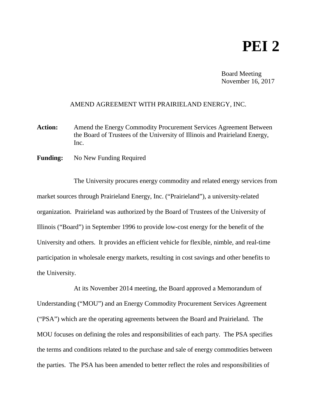## **PEI 2**

Board Meeting November 16, 2017

## AMEND AGREEMENT WITH PRAIRIELAND ENERGY, INC.

- Action: Amend the Energy Commodity Procurement Services Agreement Between the Board of Trustees of the University of Illinois and Prairieland Energy, Inc.
- **Funding:** No New Funding Required

The University procures energy commodity and related energy services from market sources through Prairieland Energy, Inc. ("Prairieland"), a university-related organization. Prairieland was authorized by the Board of Trustees of the University of Illinois ("Board") in September 1996 to provide low-cost energy for the benefit of the University and others. It provides an efficient vehicle for flexible, nimble, and real-time participation in wholesale energy markets, resulting in cost savings and other benefits to the University.

At its November 2014 meeting, the Board approved a Memorandum of Understanding ("MOU") and an Energy Commodity Procurement Services Agreement ("PSA") which are the operating agreements between the Board and Prairieland. The MOU focuses on defining the roles and responsibilities of each party. The PSA specifies the terms and conditions related to the purchase and sale of energy commodities between the parties. The PSA has been amended to better reflect the roles and responsibilities of